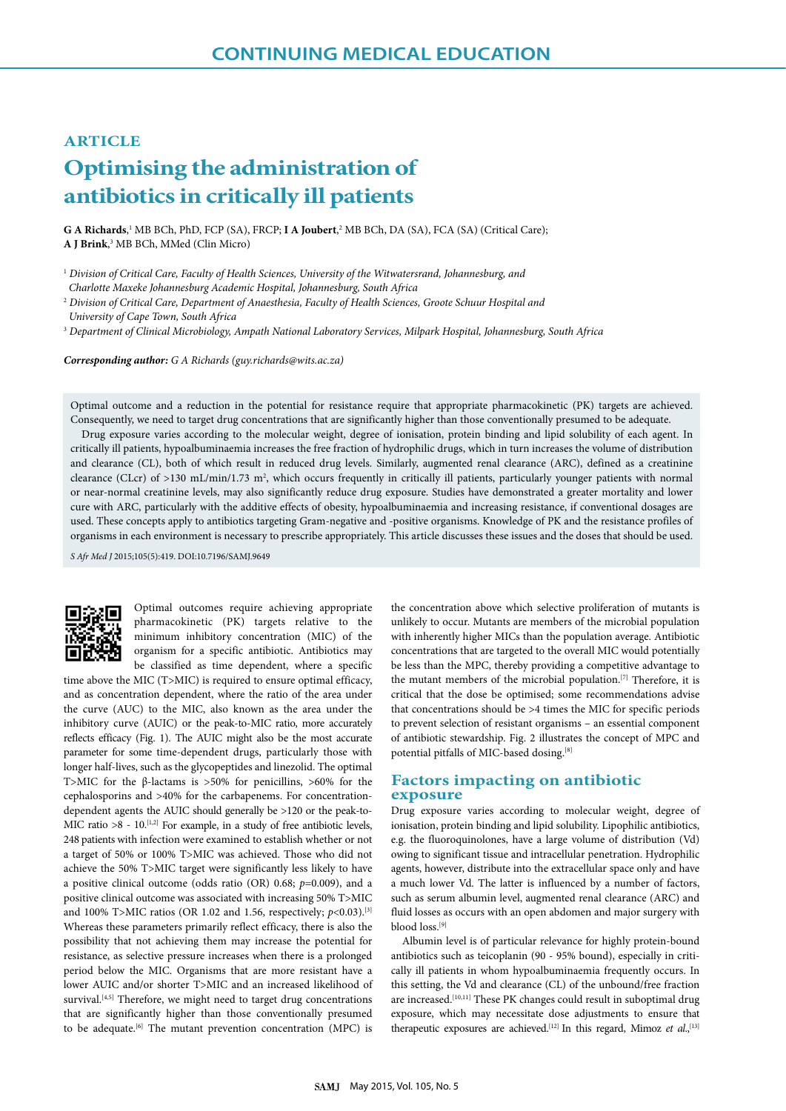## **ARTICLE**

# **Optimising the administration of antibiotics in critically ill patients**

G A Richards,<sup>1</sup> MB BCh, PhD, FCP (SA), FRCP; **I A Joubert**,<sup>2</sup> MB BCh, DA (SA), FCA (SA) (Critical Care); **A J Brink**, 3 MB BCh, MMed (Clin Micro)

<sup>1</sup> *Division of Critical Care, Faculty of Health Sciences, University of the Witwatersrand, Johannesburg, and* 

 *Charlotte Maxeke Johannesburg Academic Hospital, Johannesburg, South Africa* 

<sup>2</sup> *Division of Critical Care, Department of Anaesthesia, Faculty of Health Sciences, Groote Schuur Hospital and University of Cape Town, South Africa*

<sup>3</sup> *Department of Clinical Microbiology, Ampath National Laboratory Services, Milpark Hospital, Johannesburg, South Africa*

*Corresponding author: G A Richards (guy.richards@wits.ac.za)*

Optimal outcome and a reduction in the potential for resistance require that appropriate pharmacokinetic (PK) targets are achieved. Consequently, we need to target drug concentrations that are significantly higher than those conventionally presumed to be adequate.

Drug exposure varies according to the molecular weight, degree of ionisation, protein binding and lipid solubility of each agent. In critically ill patients, hypoalbuminaemia increases the free fraction of hydrophilic drugs, which in turn increases the volume of distribution and clearance (CL), both of which result in reduced drug levels. Similarly, augmented renal clearance (ARC), defined as a creatinine clearance (CLcr) of >130 mL/min/1.73 m<sup>2</sup>, which occurs frequently in critically ill patients, particularly younger patients with normal or near-normal creatinine levels, may also significantly reduce drug exposure. Studies have demonstrated a greater mortality and lower cure with ARC, particularly with the additive effects of obesity, hypoalbuminaemia and increasing resistance, if conventional dosages are used. These concepts apply to antibiotics targeting Gram-negative and -positive organisms. Knowledge of PK and the resistance profiles of organisms in each environment is necessary to prescribe appropriately. This article discusses these issues and the doses that should be used.

*S Afr Med J* 2015;105(5):419. DOI:10.7196/SAMJ.9649



Optimal outcomes require achieving appropriate pharmacokinetic (PK) targets relative to the minimum inhibitory concentration (MIC) of the organism for a specific antibiotic. Antibiotics may be classified as time dependent, where a specific

time above the MIC (T>MIC) is required to ensure optimal efficacy, and as concentration dependent, where the ratio of the area under the curve (AUC) to the MIC, also known as the area under the inhibitory curve (AUIC) or the peak-to-MIC ratio, more accurately reflects efficacy (Fig. 1). The AUIC might also be the most accurate parameter for some time-dependent drugs, particularly those with longer half-lives, such as the glycopeptides and linezolid. The optimal T>MIC for the β-lactams is >50% for penicillins, >60% for the cephalosporins and >40% for the carbapenems. For concentrationdependent agents the AUIC should generally be >120 or the peak-to-MIC ratio  $>8$  - 10.<sup>[1,2]</sup> For example, in a study of free antibiotic levels, 248 patients with infection were examined to establish whether or not a target of 50% or 100% T>MIC was achieved. Those who did not achieve the 50% T>MIC target were significantly less likely to have a positive clinical outcome (odds ratio (OR) 0.68; *p*=0.009), and a positive clinical outcome was associated with increasing 50% T>MIC and 100% T>MIC ratios (OR 1.02 and 1.56, respectively;  $p$ <0.03).<sup>[3]</sup> Whereas these parameters primarily reflect efficacy, there is also the possibility that not achieving them may increase the potential for resistance, as selective pressure increases when there is a prolonged period below the MIC. Organisms that are more resistant have a lower AUIC and/or shorter T>MIC and an increased likelihood of survival.<sup>[4,5]</sup> Therefore, we might need to target drug concentrations that are significantly higher than those conventionally presumed to be adequate.[6] The mutant prevention concentration (MPC) is

the concentration above which selective proliferation of mutants is unlikely to occur. Mutants are members of the microbial population with inherently higher MICs than the population average. Antibiotic concentrations that are targeted to the overall MIC would potentially be less than the MPC, thereby providing a competitive advantage to the mutant members of the microbial population.[7] Therefore, it is critical that the dose be optimised; some recommendations advise that concentrations should be >4 times the MIC for specific periods to prevent selection of resistant organisms – an essential component of antibiotic stewardship. Fig. 2 illustrates the concept of MPC and potential pitfalls of MIC-based dosing.<sup>[8]</sup>

## **Factors impacting on antibiotic exposure**

Drug exposure varies according to molecular weight, degree of ionisation, protein binding and lipid solubility. Lipophilic antibiotics, e.g. the fluoroquinolones, have a large volume of distribution (Vd) owing to significant tissue and intracellular penetration. Hydrophilic agents, however, distribute into the extracellular space only and have a much lower Vd. The latter is influenced by a number of factors, such as serum albumin level, augmented renal clearance (ARC) and fluid losses as occurs with an open abdomen and major surgery with blood loss.[9]

Albumin level is of particular relevance for highly protein-bound antibiotics such as teicoplanin (90 - 95% bound), especially in critically ill patients in whom hypoalbuminaemia frequently occurs. In this setting, the Vd and clearance (CL) of the unbound/free fraction are increased.<sup>[10,11]</sup> These PK changes could result in suboptimal drug exposure, which may necessitate dose adjustments to ensure that therapeutic exposures are achieved.<sup>[12]</sup> In this regard, Mimoz et al.,<sup>[13]</sup>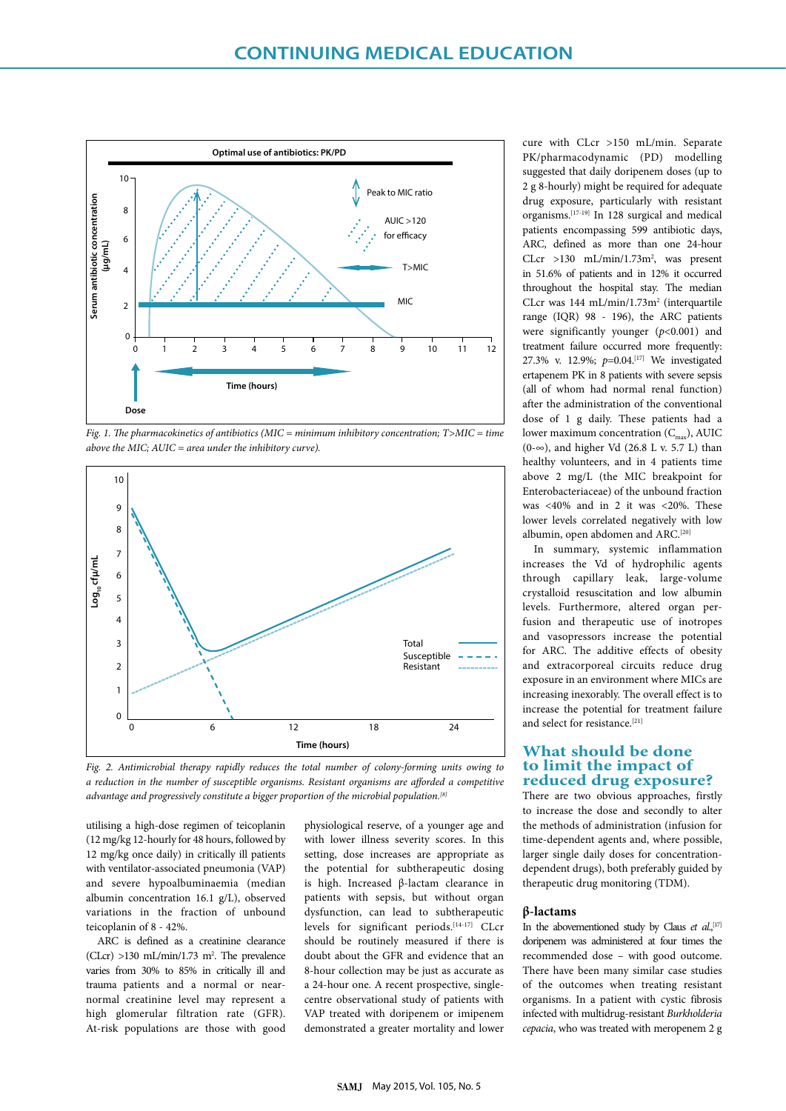

*Fig. 1. The pharmacokinetics of antibiotics (MIC = minimum inhibitory concentration; T>MIC = time above the MIC; AUIC = area under the inhibitory curve).*



*Fig. 2. Antimicrobial therapy rapidly reduces the total number of colony-forming units owing to a reduction in the number of susceptible organisms. Resistant organisms are afforded a competitive advantage and progressively constitute a bigger proportion of the microbial population.[8]*

utilising a high-dose regimen of teicoplanin (12 mg/kg 12-hourly for 48 hours, followed by 12 mg/kg once daily) in critically ill patients with ventilator-associated pneumonia (VAP) and severe hypoalbuminaemia (median albumin concentration 16.1 g/L), observed variations in the fraction of unbound teicoplanin of 8 - 42%.

ARC is defined as a creatinine clearance  $(CLcr) > 130$  mL/min/1.73 m<sup>2</sup>. The prevalence varies from 30% to 85% in critically ill and trauma patients and a normal or nearnormal creatinine level may represent a high glomerular filtration rate (GFR). At-risk populations are those with good

physiological reserve, of a younger age and with lower illness severity scores. In this setting, dose increases are appropriate as the potential for subtherapeutic dosing is high. Increased β-lactam clearance in patients with sepsis, but without organ dysfunction, can lead to subtherapeutic levels for significant periods.[14-17] CLcr should be routinely measured if there is doubt about the GFR and evidence that an 8-hour collection may be just as accurate as a 24-hour one. A recent prospective, singlecentre observational study of patients with VAP treated with doripenem or imipenem demonstrated a greater mortality and lower

cure with CLcr >150 mL/min. Separate PK/pharmacodynamic (PD) modelling suggested that daily doripenem doses (up to 2 g 8-hourly) might be required for adequate drug exposure, particularly with resistant organisms.[17-19] In 128 surgical and medical patients encompassing 599 antibiotic days, ARC, defined as more than one 24-hour CLcr >130 mL/min/1.73m<sup>2</sup>, was present in 51.6% of patients and in 12% it occurred throughout the hospital stay. The median CLcr was 144 mL/min/1.73m<sup>2</sup> (interquartile range (IQR) 98 - 196), the ARC patients were significantly younger (*p*<0.001) and treatment failure occurred more frequently: 27.3% v. 12.9%; *p*=0.04.[17] We investigated ertapenem PK in 8 patients with severe sepsis (all of whom had normal renal function) after the administration of the conventional dose of 1 g daily. These patients had a lower maximum concentration  $(C_{\text{max}})$ , AUIC (0-∞), and higher Vd (26.8 L v. 5.7 L) than healthy volunteers, and in 4 patients time above 2 mg/L (the MIC breakpoint for Enterobacteriaceae) of the unbound fraction was <40% and in 2 it was <20%. These lower levels correlated negatively with low albumin, open abdomen and ARC.<sup>[20]</sup>

In summary, systemic inflammation increases the Vd of hydrophilic agents through capillary leak, large-volume crystalloid resuscitation and low albumin levels. Furthermore, altered organ perfusion and therapeutic use of inotropes and vasopressors increase the potential for ARC. The additive effects of obesity and extracorporeal circuits reduce drug exposure in an environment where MICs are increasing inexorably. The overall effect is to increase the potential for treatment failure and select for resistance.[21]

## **What should be done to limit the impact of reduced drug exposure?**

There are two obvious approaches, firstly to increase the dose and secondly to alter the methods of administration (infusion for time-dependent agents and, where possible, larger single daily doses for concentrationdependent drugs), both preferably guided by therapeutic drug monitoring (TDM).

### **β-lactams**

In the abovementioned study by Claus et al.,<sup>[17]</sup> doripenem was administered at four times the recommended dose – with good outcome. There have been many similar case studies of the outcomes when treating resistant organisms. In a patient with cystic fibrosis infected with multidrug-resistant *Burkholderia cepacia*, who was treated with meropenem 2 g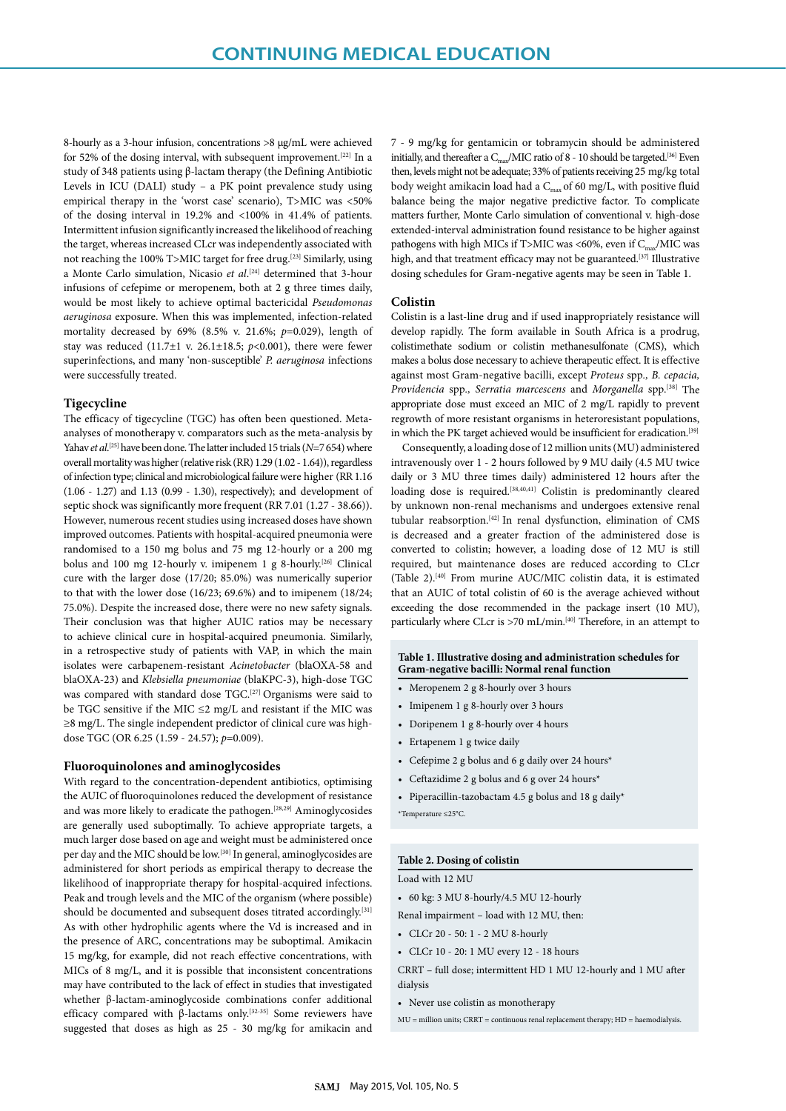8-hourly as a 3-hour infusion, concentrations >8 μg/mL were achieved for 52% of the dosing interval, with subsequent improvement.<sup>[22]</sup> In a study of 348 patients using β-lactam therapy (the Defining Antibiotic Levels in ICU (DALI) study – a PK point prevalence study using empirical therapy in the 'worst case' scenario), T>MIC was <50% of the dosing interval in 19.2% and <100% in 41.4% of patients. Intermittent infusion significantly increased the likelihood of reaching the target, whereas increased CLcr was independently associated with not reaching the 100% T>MIC target for free drug.[23] Similarly, using a Monte Carlo simulation, Nicasio *et al*. [24] determined that 3-hour infusions of cefepime or meropenem, both at 2 g three times daily, would be most likely to achieve optimal bactericidal *Pseudomonas aeruginosa* exposure. When this was implemented, infection-related mortality decreased by 69% (8.5% v. 21.6%; *p*=0.029), length of stay was reduced (11.7±1 v. 26.1±18.5; *p*<0.001), there were fewer superinfections, and many 'non-susceptible' *P. aeruginosa* infections were successfully treated.

#### **Tigecycline**

The efficacy of tigecycline (TGC) has often been questioned. Metaanalyses of monotherapy v. comparators such as the meta-analysis by Yahav *et al*. [25] have been done. The latter included 15 trials (*N*=7 654) where overall mortality was higher (relative risk (RR) 1.29 (1.02 - 1.64)), regardless of infection type; clinical and microbiological failure were higher (RR 1.16 (1.06 - 1.27) and 1.13 (0.99 - 1.30), respectively); and development of septic shock was significantly more frequent (RR 7.01 (1.27 - 38.66)). However, numerous recent studies using increased doses have shown improved outcomes. Patients with hospital-acquired pneumonia were randomised to a 150 mg bolus and 75 mg 12-hourly or a 200 mg bolus and 100 mg 12-hourly v. imipenem 1 g 8-hourly.<sup>[26]</sup> Clinical cure with the larger dose (17/20; 85.0%) was numerically superior to that with the lower dose (16/23; 69.6%) and to imipenem (18/24; 75.0%). Despite the increased dose, there were no new safety signals. Their conclusion was that higher AUIC ratios may be necessary to achieve clinical cure in hospital-acquired pneumonia. Similarly, in a retrospective study of patients with VAP, in which the main isolates were carbapenem-resistant *Acinetobacter* (blaOXA-58 and blaOXA-23) and *Klebsiella pneumoniae* (blaKPC-3), high-dose TGC was compared with standard dose TGC.[27] Organisms were said to be TGC sensitive if the MIC  $\leq$ 2 mg/L and resistant if the MIC was ≥8 mg/L. The single independent predictor of clinical cure was highdose TGC (OR 6.25 (1.59 - 24.57); *p*=0.009).

#### **Fluoroquinolones and aminoglycosides**

With regard to the concentration-dependent antibiotics, optimising the AUIC of fluoroquinolones reduced the development of resistance and was more likely to eradicate the pathogen.[28,29] Aminoglycosides are generally used suboptimally. To achieve appropriate targets, a much larger dose based on age and weight must be administered once per day and the MIC should be low.[30] In general, aminoglycosides are administered for short periods as empirical therapy to decrease the likelihood of inappropriate therapy for hospital-acquired infections. Peak and trough levels and the MIC of the organism (where possible) should be documented and subsequent doses titrated accordingly.<sup>[31]</sup> As with other hydrophilic agents where the Vd is increased and in the presence of ARC, concentrations may be suboptimal. Amikacin 15 mg/kg, for example, did not reach effective concentrations, with MICs of 8 mg/L, and it is possible that inconsistent concentrations may have contributed to the lack of effect in studies that investigated whether β-lactam-aminoglycoside combinations confer additional efficacy compared with β-lactams only.<sup>[32-35]</sup> Some reviewers have suggested that doses as high as 25 - 30 mg/kg for amikacin and

7 - 9 mg/kg for gentamicin or tobramycin should be administered initially, and thereafter a  $C_{\text{max}}/MIC$  ratio of 8 - 10 should be targeted.<sup>[36]</sup> Even then, levels might not be adequate; 33% of patients receiving 25 mg/kg total body weight amikacin load had a  $C_{\text{max}}$  of 60 mg/L, with positive fluid balance being the major negative predictive factor. To complicate matters further, Monte Carlo simulation of conventional v. high-dose extended-interval administration found resistance to be higher against pathogens with high MICs if T>MIC was <60%, even if  $C_{\text{max}}/MIC$  was high, and that treatment efficacy may not be guaranteed.<sup>[37]</sup> Illustrative dosing schedules for Gram-negative agents may be seen in Table 1.

#### **Colistin**

Colistin is a last-line drug and if used inappropriately resistance will develop rapidly. The form available in South Africa is a prodrug, colistimethate sodium or colistin methanesulfonate (CMS), which makes a bolus dose necessary to achieve therapeutic effect. It is effective against most Gram-negative bacilli, except *Proteus* spp*., B. cepacia, Providencia* spp*., Serratia marcescens* and *Morganella* spp.[38] The appropriate dose must exceed an MIC of 2 mg/L rapidly to prevent regrowth of more resistant organisms in heteroresistant populations, in which the PK target achieved would be insufficient for eradication.[39]

Consequently, a loading dose of 12 million units (MU) administered intravenously over 1 - 2 hours followed by 9 MU daily (4.5 MU twice daily or 3 MU three times daily) administered 12 hours after the loading dose is required.<sup>[38,40,41]</sup> Colistin is predominantly cleared by unknown non-renal mechanisms and undergoes extensive renal tubular reabsorption.[42] In renal dysfunction, elimination of CMS is decreased and a greater fraction of the administered dose is converted to colistin; however, a loading dose of 12 MU is still required, but maintenance doses are reduced according to CLcr (Table 2).[40] From murine AUC/MIC colistin data, it is estimated that an AUIC of total colistin of 60 is the average achieved without exceeding the dose recommended in the package insert (10 MU), particularly where CLcr is >70 mL/min.<sup>[40]</sup> Therefore, in an attempt to

#### **Table 1. Illustrative dosing and administration schedules for Gram-negative bacilli: Normal renal function**

- Meropenem 2 g 8-hourly over 3 hours
- Imipenem 1 g 8-hourly over 3 hours
- Doripenem 1 g 8-hourly over 4 hours
- Ertapenem 1 g twice daily
- Cefepime 2 g bolus and 6 g daily over 24 hours\*
- Ceftazidime 2 g bolus and 6 g over 24 hours\*
- Piperacillin-tazobactam 4.5 g bolus and 18 g daily\*

\*Temperature ≤25°C.

#### **Table 2. Dosing of colistin**

Load with 12 MU

• 60 kg: 3 MU 8-hourly/4.5 MU 12-hourly

Renal impairment – load with 12 MU, then:

- CLCr 20 50: 1 2 MU 8-hourly
- CLCr 10 20: 1 MU every 12 18 hours

CRRT – full dose; intermittent HD 1 MU 12-hourly and 1 MU after dialysis

• Never use colistin as monotherapy

MU = million units; CRRT = continuous renal replacement therapy; HD = haemodialysis.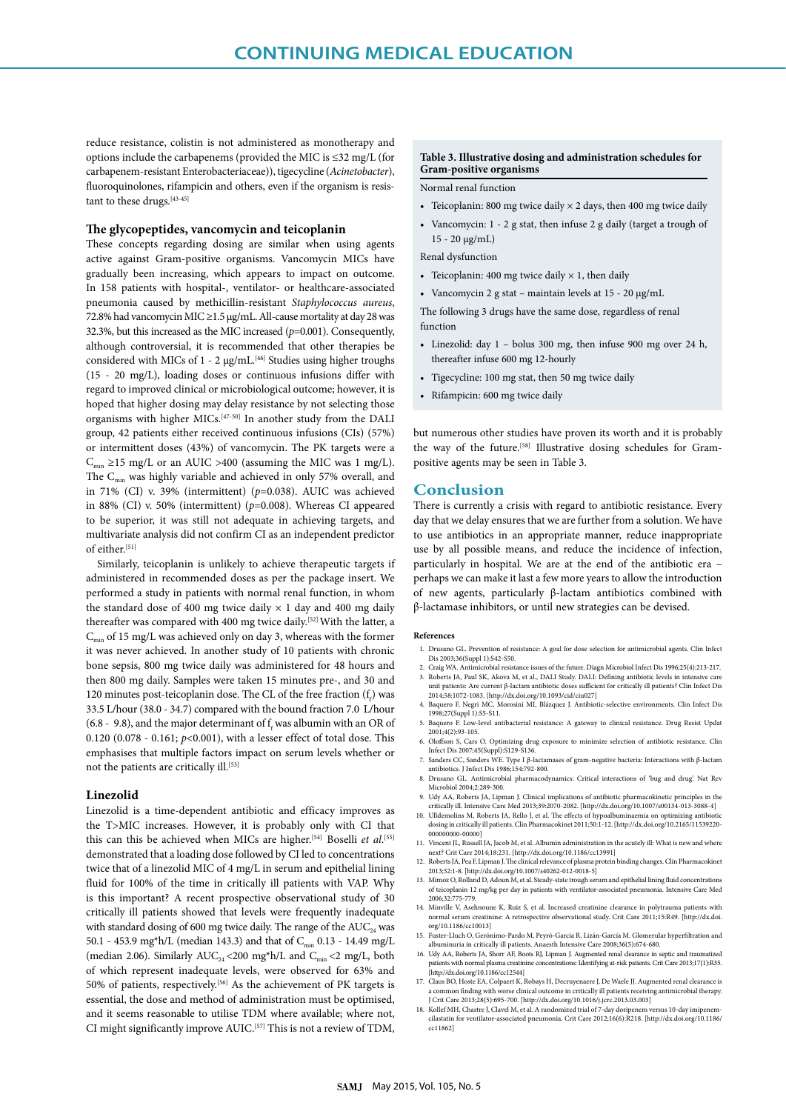reduce resistance, colistin is not administered as monotherapy and options include the carbapenems (provided the MIC is ≤32 mg/L (for carbapenem-resistant Enterobacteriaceae)), tigecycline (*Acinetobacter*), fluoroquinolones, rifampicin and others, even if the organism is resistant to these drugs.<sup>[43-45]</sup>

#### **The glycopeptides, vancomycin and teicoplanin**

These concepts regarding dosing are similar when using agents active against Gram-positive organisms. Vancomycin MICs have gradually been increasing, which appears to impact on outcome. In 158 patients with hospital-, ventilator- or healthcare-associated pneumonia caused by methicillin-resistant *Staphylococcus aureus*, 72.8% had vancomycin MIC ≥1.5 μg/mL. All-cause mortality at day 28 was 32.3%, but this increased as the MIC increased (*p*=0.001). Consequently, although controversial, it is recommended that other therapies be considered with MICs of 1 - 2 μg/mL.<sup>[46]</sup> Studies using higher troughs (15 - 20 mg/L), loading doses or continuous infusions differ with regard to improved clinical or microbiological outcome; however, it is hoped that higher dosing may delay resistance by not selecting those organisms with higher MICs.[47-50] In another study from the DALI group, 42 patients either received continuous infusions (CIs) (57%) or intermittent doses (43%) of vancomycin. The PK targets were a  $C_{\min} \ge 15$  mg/L or an AUIC >400 (assuming the MIC was 1 mg/L). The  $C_{\min}$  was highly variable and achieved in only 57% overall, and in 71% (CI) v. 39% (intermittent) (*p*=0.038). AUIC was achieved in 88% (CI) v. 50% (intermittent) (*p*=0.008). Whereas CI appeared to be superior, it was still not adequate in achieving targets, and multivariate analysis did not confirm CI as an independent predictor of either.[51]

Similarly, teicoplanin is unlikely to achieve therapeutic targets if administered in recommended doses as per the package insert. We performed a study in patients with normal renal function, in whom the standard dose of 400 mg twice daily  $\times$  1 day and 400 mg daily thereafter was compared with 400 mg twice daily.<sup>[52]</sup> With the latter, a  $C_{\text{min}}$  of 15 mg/L was achieved only on day 3, whereas with the former it was never achieved. In another study of 10 patients with chronic bone sepsis, 800 mg twice daily was administered for 48 hours and then 800 mg daily. Samples were taken 15 minutes pre-, and 30 and 120 minutes post-teicoplanin dose. The CL of the free fraction  $(f_f)$  was 33.5 L/hour (38.0 - 34.7) compared with the bound fraction 7.0 L/hour (6.8 - 9.8), and the major determinant of  $f_f$  was albumin with an OR of 0.120 (0.078 - 0.161; *p*<0.001), with a lesser effect of total dose. This emphasises that multiple factors impact on serum levels whether or not the patients are critically ill.[53]

#### **Linezolid**

Linezolid is a time-dependent antibiotic and efficacy improves as the T>MIC increases. However, it is probably only with CI that this can this be achieved when MICs are higher.<sup>[54]</sup> Boselli *et al*.<sup>[55]</sup> demonstrated that a loading dose followed by CI led to concentrations twice that of a linezolid MIC of 4 mg/L in serum and epithelial lining fluid for 100% of the time in critically ill patients with VAP. Why is this important? A recent prospective observational study of 30 critically ill patients showed that levels were frequently inadequate with standard dosing of 600 mg twice daily. The range of the  $AUC_{24}$  was 50.1 - 453.9 mg\*h/L (median 143.3) and that of  $C_{\text{min}}$  0.13 - 14.49 mg/L (median 2.06). Similarly  $AUC_{24}$  <200 mg\*h/L and  $C_{min}$  <2 mg/L, both of which represent inadequate levels, were observed for 63% and 50% of patients, respectively.[56] As the achievement of PK targets is essential, the dose and method of administration must be optimised, and it seems reasonable to utilise TDM where available; where not, CI might significantly improve AUIC.[57] This is not a review of TDM,

#### **Table 3. Illustrative dosing and administration schedules for Gram-positive organisms**

Normal renal function

- Teicoplanin: 800 mg twice daily  $\times$  2 days, then 400 mg twice daily
- Vancomycin: 1 2 g stat, then infuse 2 g daily (target a trough of 15 - 20 μg/mL)

Renal dysfunction

- Teicoplanin: 400 mg twice daily  $\times$  1, then daily
- Vancomycin 2 g stat maintain levels at 15 20 μg/mL

The following 3 drugs have the same dose, regardless of renal function

- Linezolid: day 1 bolus 300 mg, then infuse 900 mg over 24 h, thereafter infuse 600 mg 12-hourly
- Tigecycline: 100 mg stat, then 50 mg twice daily
- Rifampicin: 600 mg twice daily

but numerous other studies have proven its worth and it is probably the way of the future.<sup>[58]</sup> Illustrative dosing schedules for Grampositive agents may be seen in Table 3.

#### **Conclusion**

There is currently a crisis with regard to antibiotic resistance. Every day that we delay ensures that we are further from a solution. We have to use antibiotics in an appropriate manner, reduce inappropriate use by all possible means, and reduce the incidence of infection, particularly in hospital. We are at the end of the antibiotic era – perhaps we can make it last a few more years to allow the introduction of new agents, particularly β-lactam antibiotics combined with β-lactamase inhibitors, or until new strategies can be devised.

#### **References**

- 1. Drusano GL. Prevention of resistance: A goal for dose selection for antimicrobial agents. Clin Infect Dis 2003;36(Suppl 1):S42-S50.
- 2. Craig WA. Antimicrobial resistance issues of the future. Diagn Microbiol Infect Dis 1996;25(4):213-217. Roberts JA, Paul SK, Akova M, et al., DALI Study. DALI: Defining antibiotic levels in intensive care unit patients: Are current β-lactam antibiotic doses sufficient for critically ill patients? Clin Infect Dis
- 2014;58:1072-1083. [http://dx.doi.org/10.1093/cid/ciu027] 4. Baquero F, Negri MC, Morosini MI, Blázquez J. Antibiotic-selective environments. Clin Infect Dis
- 1998;27(Suppl 1):S5-S11. 5. Baquero F. Low-level antibacterial resistance: A gateway to clinical resistance. Drug Resist Updat 2001;4(2):93-105.
- 6. Oloffson S, Cars O. Optimizing drug exposure to minimize selection of antibiotic resistance. Clin Infect Dis 2007;45(Suppl):S129-S136.
- 7. Sanders CC, Sanders WE. Type I β-lactamases of gram-negative bacteria: Interactions with β-lactam antibiotics. J Infect Dis 1986;154:792-800.
- 8. Drusano GL. Antimicrobial pharmacodynamics: Critical interactions of 'bug and drug'. Nat Rev Microbiol 2004;2:289-300.
- 9. Udy AA, Roberts JA, Lipman J. Clinical implications of antibiotic pharmacokinetic principles in the
- critically ill. Intensive Care Med 2013;39:2070-2082. [http://dx.doi.org/10.1007/s00134-013-3088-4] 10. Ulldemolins M, Roberts JA, Rello J, et al. The effects of hypoalbuminaemia on optimizing antibiotic dosing in critically ill patients. Clin Pharmacokinet 2011;50:1-12. [http://dx.doi.org/10.2165/11539220- 000000000-00000]
- 11. Vincent JL, Russell JA, Jacob M, et al. Albumin administration in the acutely ill: What is new and where<br>next? Crit Care 2014;18:231. [http://dx.doi.org/10.186/cc13991]<br>12. Roberts JA, Pea F, Lipman J. The clinical rel
- 2013;52:1-8. [http://dx.doi.org/10.1007/s40262-012-0018-5]
- 13. Mimoz O, Rolland D, Adoun M, et al. Steady-state trough serum and epithelial lining fluid concentrations of teicoplanin 12 mg/kg per day in patients with ventilator-associated pneumonia. Intensive Care Med 2006;32:775-779.
- 14. Minville V, Asehnoune K, Ruiz S, et al. Increased creatinine clearance in polytrauma patients with normal serum creatinine: A retrospective observational study. Crit Care 2011;15:R49. [http://dx.doi. org/10.1186/cc10013]
- 15. Fuster-Lluch O, Gerónimo-Pardo M, Peyró-García R, Lizán-García M. Glomerular hyperfiltration and albuminuria in critically ill patients. Anaesth Intensive Care 2008;36(5):674-680.
- 16. Udy AA, Roberts JA, Shorr AF, Boots RJ, Lipman J. Augmented renal clearance in septic and traumatized patients with normal plasma creatinine concentrations: Identifying at-risk patients. Crit Care 2013;17(1):R35. [http://dx.doi.org/10.1186/cc12544]
- 17. Claus BO, Hoste EA, Colpaert K, Robays H, Decruyenaere J, De Waele JJ. Augmented renal clearance is a common finding with worse clinical outcome in critically ill patients receiving antimicrobial therapy. J Crit Care 2013;28(5):695-700. [http://dx.doi.org/10.1016/j.jcrc.2013.03.003]
- 18. Kollef MH, Chastre J, Clavel M, et al. A randomized trial of  $\overline{\gamma}$ -day doripenem versus 10-day imipelastatin for ventilator-associated pneumonia. Crit Care 2012;16(6):R218. [http://dx.doi.org/1 cilastatin for ventilator-associated pneumonia. Crit Care 2012;16(6):R218. [http://dx.doi.org/10.1186/ cc11862]